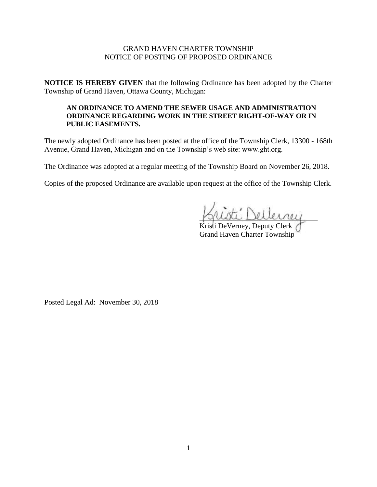## GRAND HAVEN CHARTER TOWNSHIP NOTICE OF POSTING OF PROPOSED ORDINANCE

**NOTICE IS HEREBY GIVEN** that the following Ordinance has been adopted by the Charter Township of Grand Haven, Ottawa County, Michigan:

#### **AN ORDINANCE TO AMEND THE SEWER USAGE AND ADMINISTRATION ORDINANCE REGARDING WORK IN THE STREET RIGHT-OF-WAY OR IN PUBLIC EASEMENTS.**

The newly adopted Ordinance has been posted at the office of the Township Clerk, 13300 - 168th Avenue, Grand Haven, Michigan and on the Township's web site: www.ght.org.

The Ordinance was adopted at a regular meeting of the Township Board on November 26, 2018.

Copies of the proposed Ordinance are available upon request at the office of the Township Clerk.

ti Dellerrey

Kristi DeVerney, Deputy Clerk Grand Haven Charter Township

Posted Legal Ad: November 30, 2018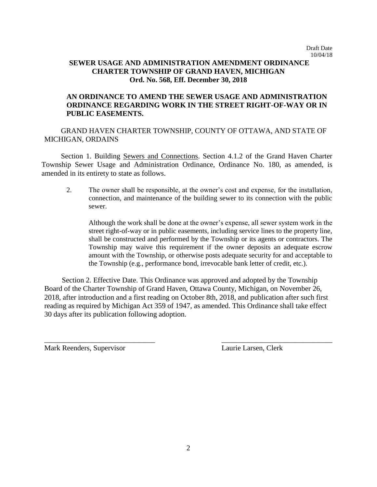## **SEWER USAGE AND ADMINISTRATION AMENDMENT ORDINANCE CHARTER TOWNSHIP OF GRAND HAVEN, MICHIGAN Ord. No. 568, Eff. December 30, 2018**

# **AN ORDINANCE TO AMEND THE SEWER USAGE AND ADMINISTRATION ORDINANCE REGARDING WORK IN THE STREET RIGHT-OF-WAY OR IN PUBLIC EASEMENTS.**

GRAND HAVEN CHARTER TOWNSHIP, COUNTY OF OTTAWA, AND STATE OF MICHIGAN, ORDAINS

Section 1. Building Sewers and Connections. Section 4.1.2 of the Grand Haven Charter Township Sewer Usage and Administration Ordinance, Ordinance No. 180, as amended, is amended in its entirety to state as follows.

2. The owner shall be responsible, at the owner's cost and expense, for the installation, connection, and maintenance of the building sewer to its connection with the public sewer.

Although the work shall be done at the owner's expense, all sewer system work in the street right-of-way or in public easements, including service lines to the property line, shall be constructed and performed by the Township or its agents or contractors. The Township may waive this requirement if the owner deposits an adequate escrow amount with the Township, or otherwise posts adequate security for and acceptable to the Township (e.g., performance bond, irrevocable bank letter of credit, etc.).

 Section 2. Effective Date. This Ordinance was approved and adopted by the Township Board of the Charter Township of Grand Haven, Ottawa County, Michigan, on November 26, 2018, after introduction and a first reading on October 8th, 2018, and publication after such first reading as required by Michigan Act 359 of 1947, as amended. This Ordinance shall take effect 30 days after its publication following adoption.

 $\overline{\phantom{a}}$  , and the contract of the contract of the contract of the contract of the contract of the contract of the contract of the contract of the contract of the contract of the contract of the contract of the contrac

Mark Reenders, Supervisor Laurie Larsen, Clerk